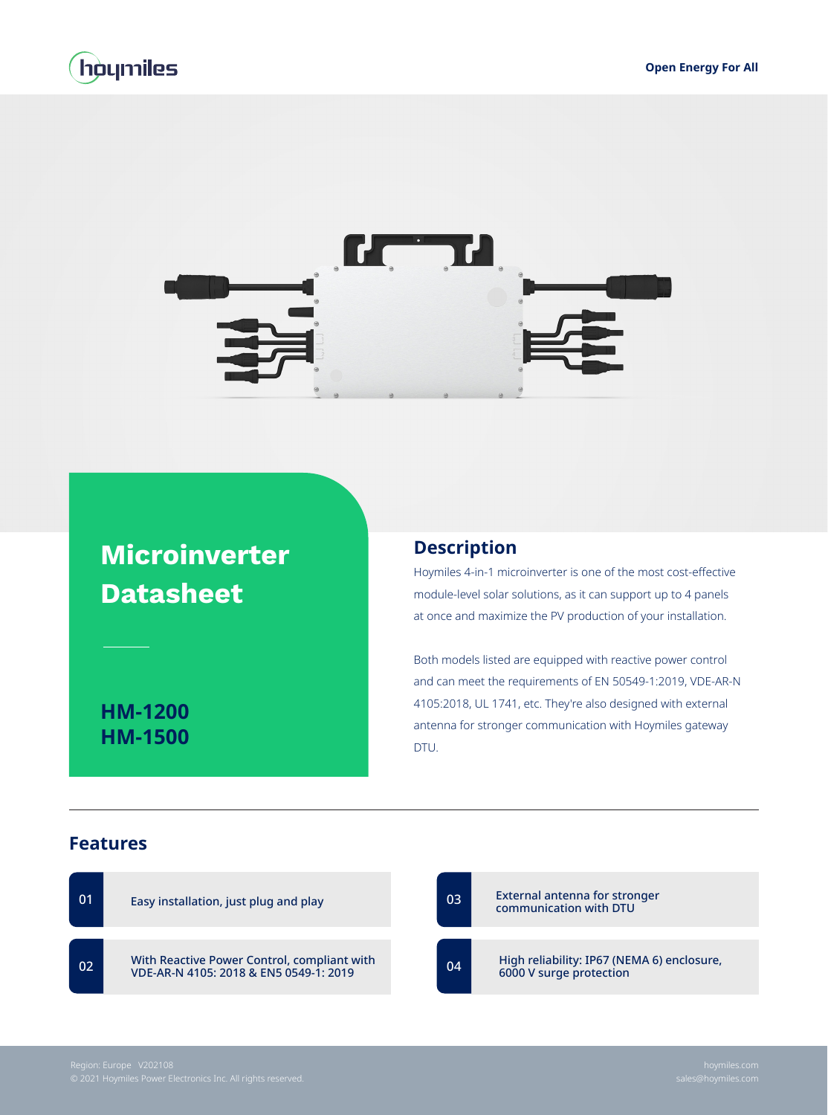



## **Microinverter Datasheet**

**HM-1200 HM-1500**

## **Description**

Hoymiles 4-in-1 microinverter is one of the most cost-effective module-level solar solutions, as it can support up to 4 panels at once and maximize the PV production of your installation.

Both models listed are equipped with reactive power control and can meet the requirements of EN 50549-1:2019, VDE-AR-N 4105:2018, UL 1741, etc. They're also designed with external antenna for stronger communication with Hoymiles gateway DTU.

## **Features**

| 01 | Easy installation, just plug and play                                                 | 03 | External antenna for stronger<br>communication with DTU               |
|----|---------------------------------------------------------------------------------------|----|-----------------------------------------------------------------------|
| 02 | With Reactive Power Control, compliant with<br>VDE-AR-N 4105: 2018 & EN5 0549-1: 2019 | 04 | High reliability: IP67 (NEMA 6) enclosure,<br>6000 V surge protection |
|    |                                                                                       |    |                                                                       |